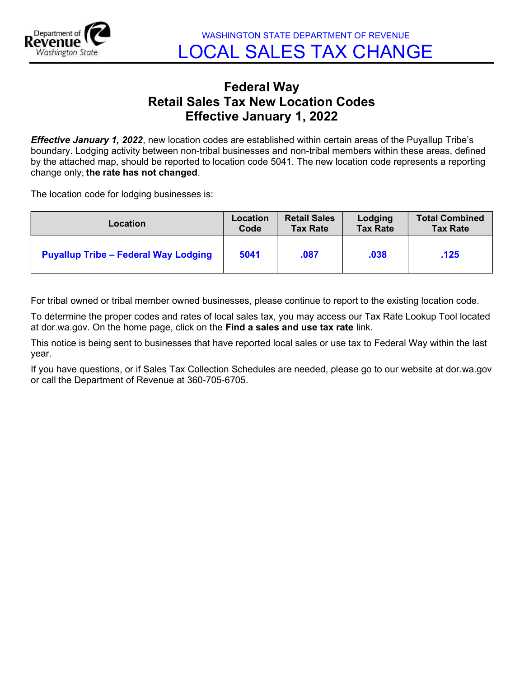

## Federal Way Retail Sales Tax New Location Codes Effective January 1, 2022

**Effective January 1, 2022**, new location codes are established within certain areas of the Puyallup Tribe's boundary. Lodging activity between non-tribal businesses and non-tribal members within these areas, defined by the attached map, should be reported to location code 5041. The new location code represents a reporting change only; the rate has not changed.

The location code for lodging businesses is:

| Location                                    | Location | <b>Retail Sales</b> | Lodging         | <b>Total Combined</b> |
|---------------------------------------------|----------|---------------------|-----------------|-----------------------|
|                                             | Code     | <b>Tax Rate</b>     | <b>Tax Rate</b> | <b>Tax Rate</b>       |
| <b>Puyallup Tribe - Federal Way Lodging</b> | 5041     | .087                | .038            | .125                  |

For tribal owned or tribal member owned businesses, please continue to report to the existing location code.

To determine the proper codes and rates of local sales tax, you may access our Tax Rate Lookup Tool located at dor.wa.gov. On the home page, click on the Find a sales and use tax rate link.

This notice is being sent to businesses that have reported local sales or use tax to Federal Way within the last year.

If you have questions, or if Sales Tax Collection Schedules are needed, please go to our website at dor.wa.gov or call the Department of Revenue at 360-705-6705.